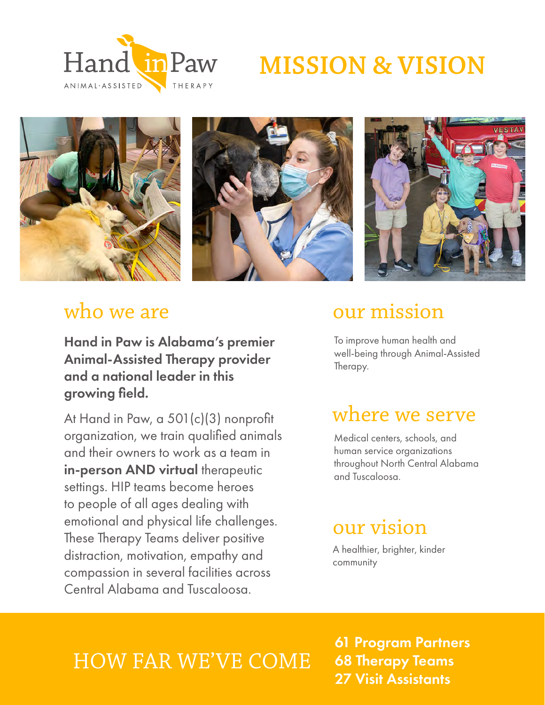# **MISSION & VISION**









Hand in Paw is Alabama's premier Animal-Assisted Therapy provider and a national leader in this growing field.

At Hand in Paw, a 501(c)(3) nonprofit organization, we train qualified animals and their owners to work as a team in in-person AND virtual therapeutic settings. HIP teams become heroes to people of all ages dealing with emotional and physical life challenges. These Therapy Teams deliver positive distraction, motivation, empathy and compassion in several facilities across Central Alabama and Tuscaloosa.

### who we are **our mission**

To improve human health and well-being through Animal-Assisted Therapy.

### where we serve

Medical centers, schools, and human service organizations throughout North Central Alabama and Tuscaloosa.

### our vision

A healthier, brighter, kinder community

### HOW FAR WE'VE COME

61 Program Partners 68 Therapy Teams 27 Visit Assistants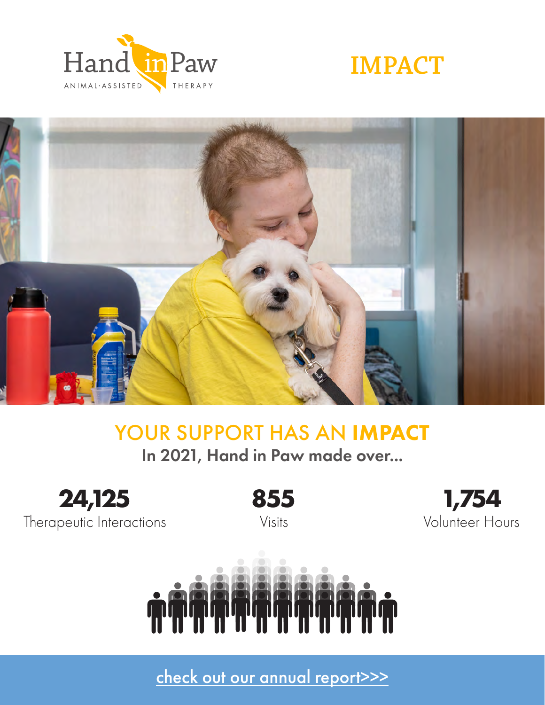





### YOUR SUPPORT HAS AN IMPACT

In 2021, Hand in Paw made over...



Therapeutic Interactions

**855** Visits

**1,754** Volunteer Hours



[check out our annual report>>>](https://handinpaw.org/wp-content/uploads/2022/03/2021-Annual-Report.pdf)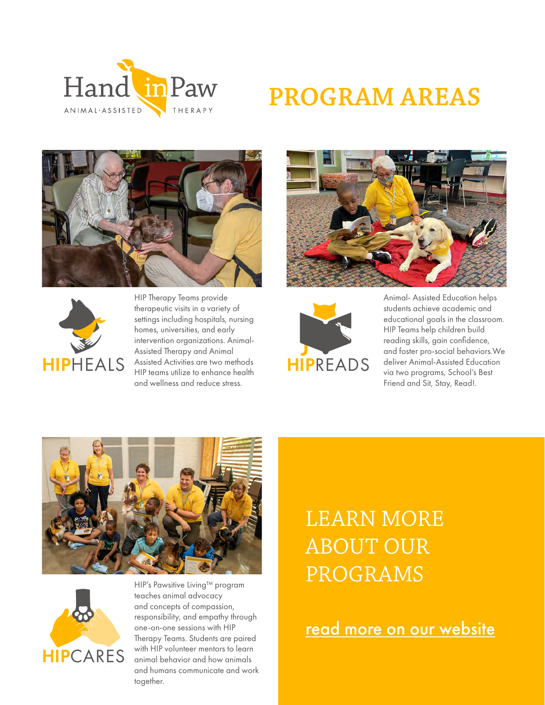

# **PROGRAM AREAS**





HIP Therapy Teams provide therapeutic visits in a variety of settings including hospitals, nursing homes, universities, and early intervention organizations. Animal-Assisted Therapy and Animal Assisted Activities are two methods HIP teams utilize to enhance health and wellness and reduce stress.





Animal- Assisted Education helps students achieve academic and educational goals in the classroom. HIP Teams help children build reading skills, gain confidence, and foster pro-social behaviors.We deliver Animal-Assisted Education via two programs, School's Best Friend and Sit, Stay, Read!.





HIP's Pawsitive Living™ program teaches animal advocacy and concepts of compassion, responsibility, and empathy through one-on-one sessions with HIP Therapy Teams. Students are paired with HIP volunteer mentors to learn animal behavior and how animals and humans communicate and work together.

### LEARN MORE ABOUT OUR PROGRAMS

[read more on our website](https://handinpaw.org/programs/)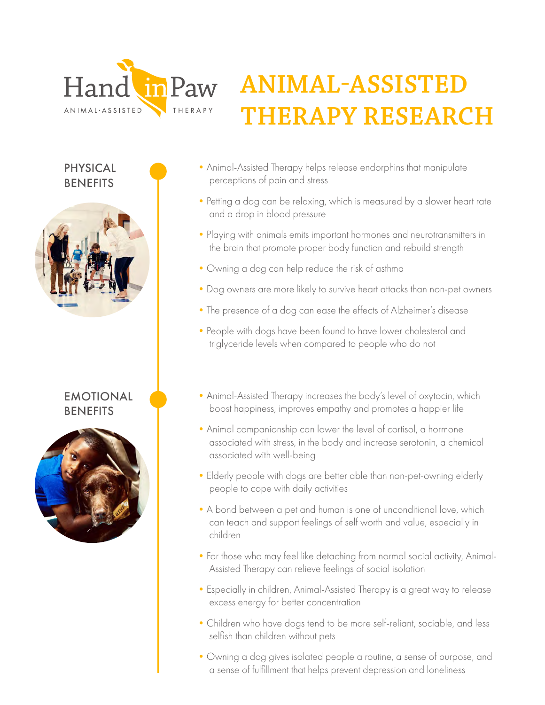

# **ANIMAL-ASSISTED THERAPY RESEARCH**

PHYSICAL **BENEFITS** 



### EMOTIONAL **BENEFITS**



- •Animal-Assisted Therapy helps release endorphins that manipulate perceptions of pain and stress
- Petting a dog can be relaxing, which is measured by a slower heart rate and a drop in blood pressure
- •Playing with animals emits important hormones and neurotransmitters in the brain that promote proper body function and rebuild strength
- •Owning a dog can help reduce the risk of asthma
- •Dog owners are more likely to survive heart attacks than non-pet owners
- •The presence of a dog can ease the effects of Alzheimer's disease
- People with dogs have been found to have lower cholesterol and triglyceride levels when compared to people who do not
- •Animal-Assisted Therapy increases the body's level of oxytocin, which boost happiness, improves empathy and promotes a happier life
- •Animal companionship can lower the level of cortisol, a hormone associated with stress, in the body and increase serotonin, a chemical associated with well-being
- •Elderly people with dogs are better able than non-pet-owning elderly people to cope with daily activities
- •A bond between a pet and human is one of unconditional love, which can teach and support feelings of self worth and value, especially in children
- •For those who may feel like detaching from normal social activity, Animal-Assisted Therapy can relieve feelings of social isolation
- •Especially in children, Animal-Assisted Therapy is a great way to release excess energy for better concentration
- •Children who have dogs tend to be more self-reliant, sociable, and less selfish than children without pets
- •Owning a dog gives isolated people a routine, a sense of purpose, and a sense of fulfillment that helps prevent depression and loneliness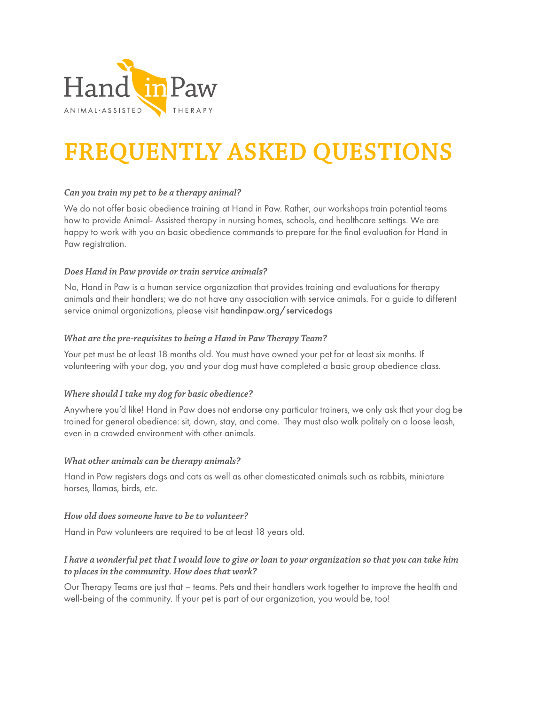

# **FREQUENTLY ASKED QUESTIONS**

#### *Can you train my pet to be a therapy animal?*

We do not offer basic obedience training at Hand in Paw. Rather, our workshops train potential teams how to provide Animal- Assisted therapy in nursing homes, schools, and healthcare settings. We are happy to work with you on basic obedience commands to prepare for the final evaluation for Hand in Paw registration.

#### *Does Hand in Paw provide or train service animals?*

No, Hand in Paw is a human service organization that provides training and evaluations for therapy animals and their handlers; we do not have any association with service animals. For a guide to different service animal organizations, please visit handinpaw.org/servicedogs

#### *What are the pre-requisites to being a Hand in Paw Therapy Team?*

Your pet must be at least 18 months old. You must have owned your pet for at least six months. If volunteering with your dog, you and your dog must have completed a basic group obedience class.

#### *Where should I take my dog for basic obedience?*

Anywhere you'd like! Hand in Paw does not endorse any particular trainers, we only ask that your dog be trained for general obedience: sit, down, stay, and come. They must also walk politely on a loose leash, even in a crowded environment with other animals.

#### *What other animals can be therapy animals?*

Hand in Paw registers dogs and cats as well as other domesticated animals such as rabbits, miniature horses, llamas, birds, etc.

#### *How old does someone have to be to volunteer?*

Hand in Paw volunteers are required to be at least 18 years old.

#### *I have a wonderful pet that I would love to give or loan to your organization so that you can take him to places in the community. How does that work?*

Our Therapy Teams are just that – teams. Pets and their handlers work together to improve the health and well-being of the community. If your pet is part of our organization, you would be, too!